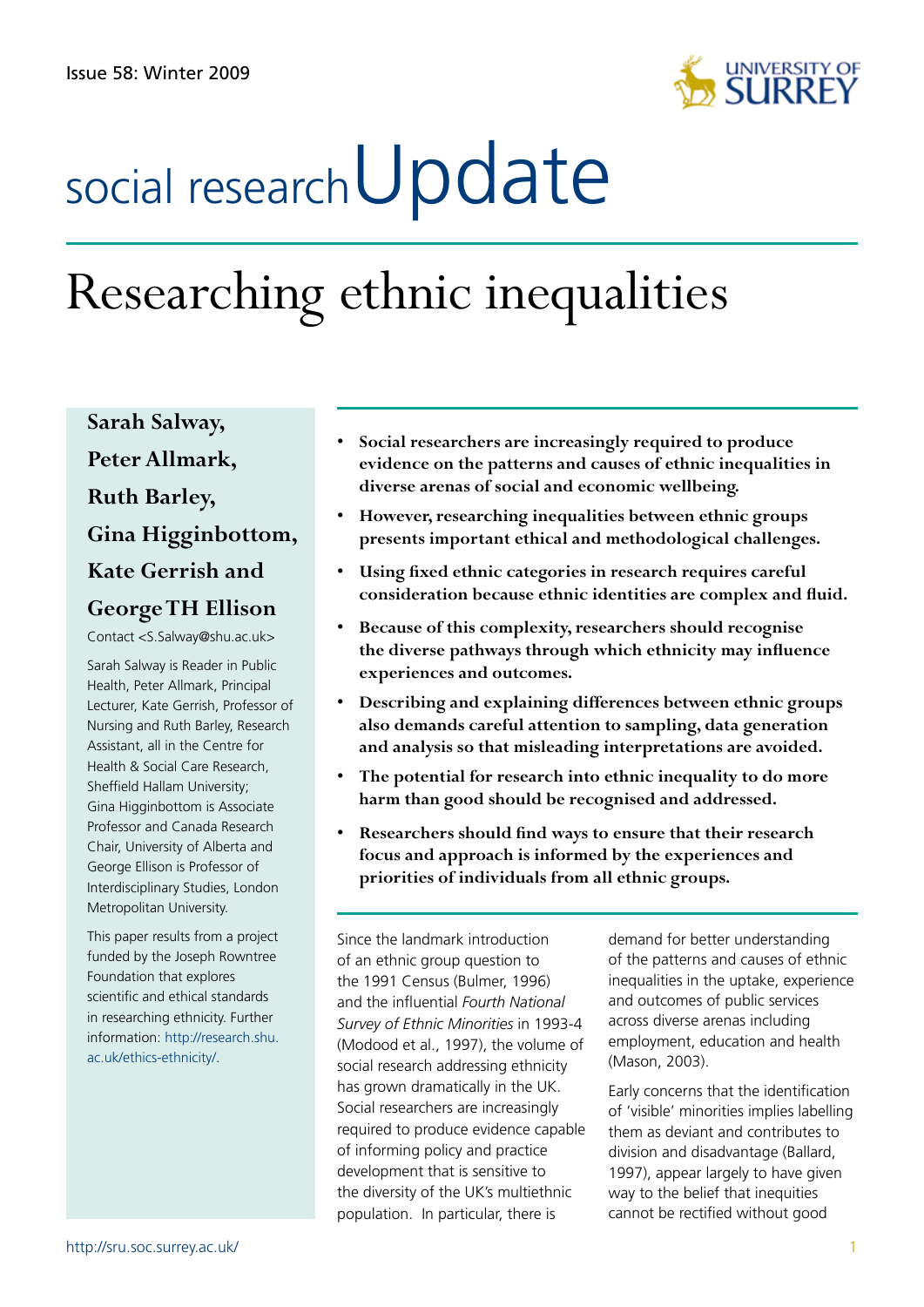

# social research**Update**

# Researching ethnic inequalities

**Sarah Salway, PeterAllmark, Ruth Barley, Gina Higginbottom, Kate Gerrish and GeorgeTH Ellison**

Contact <S.Salway@shu.ac.uk>

Sarah Salway is Reader in Public Health, Peter Allmark, Principal Lecturer, Kate Gerrish, Professor of Nursing and Ruth Barley, Research Assistant, all in the Centre for Health & Social Care Research, Sheffield Hallam University; Gina Higginbottom is Associate Professor and Canada Research Chair, University of Alberta and George Ellison is Professor of Interdisciplinary Studies, London Metropolitan University.

This paper results from a project funded by the Joseph Rowntree Foundation that explores scientific and ethical standards in researching ethnicity. Further information: http://research.shu. ac.uk/ethics-ethnicity/.

- **• Social researchers are increasingly required to produce evidence on the patterns and causes of ethnic inequalities in diverse arenas of social and economic wellbeing.**
- **• However, researching inequalities between ethnic groups presents important ethical and methodological challenges.**
- **• Using fixed ethnic categories in research requires careful consideration because ethnic identities are complex and fluid.**
- **• Because of this complexity, researchers should recognise the diverse pathways through which ethnicity may influence experiences and outcomes.**
- **• Describing and explaining differences between ethnic groups also demands careful attention to sampling, data generation and analysis so that misleading interpretations are avoided.**
- **• The potential for research into ethnic inequality to do more harm than good should be recognised and addressed.**
- **• Researchers should find ways to ensure that their research focus and approach is informed by the experiences and priorities of individuals from all ethnic groups.**

Since the landmark introduction of an ethnic group question to the 1991 Census (Bulmer, 1996) and the influential *Fourth National Survey of Ethnic Minorities* in 1993-4 (Modood et al., 1997), the volume of social research addressing ethnicity has grown dramatically in the UK. Social researchers are increasingly required to produce evidence capable of informing policy and practice development that is sensitive to the diversity of the UK's multiethnic population. In particular, there is

demand for better understanding of the patterns and causes of ethnic inequalities in the uptake, experience and outcomes of public services across diverse arenas including employment, education and health (Mason, 2003).

Early concerns that the identification of 'visible' minorities implies labelling them as deviant and contributes to division and disadvantage (Ballard, 1997), appear largely to have given way to the belief that inequities cannot be rectified without good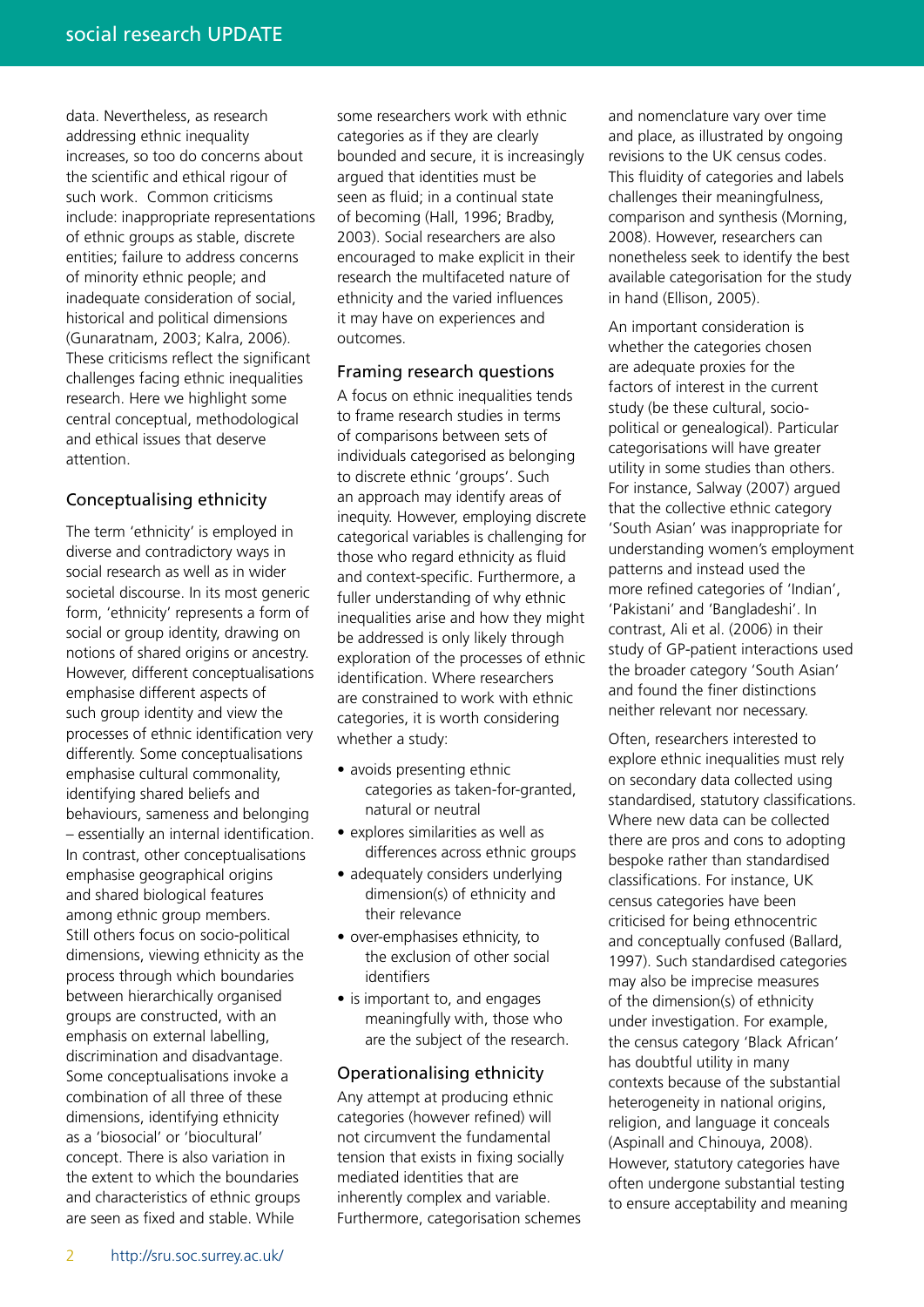data. Nevertheless, as research addressing ethnic inequality increases, so too do concerns about the scientific and ethical rigour of such work. Common criticisms include: inappropriate representations of ethnic groups as stable, discrete entities; failure to address concerns of minority ethnic people; and inadequate consideration of social, historical and political dimensions (Gunaratnam, 2003; Kalra, 2006). These criticisms reflect the significant challenges facing ethnic inequalities research. Here we highlight some central conceptual, methodological and ethical issues that deserve attention.

## Conceptualising ethnicity

The term 'ethnicity' is employed in diverse and contradictory ways in social research as well as in wider societal discourse. In its most generic form, 'ethnicity' represents a form of social or group identity, drawing on notions of shared origins or ancestry. However, different conceptualisations emphasise different aspects of such group identity and view the processes of ethnic identification very differently. Some conceptualisations emphasise cultural commonality, identifying shared beliefs and behaviours, sameness and belonging – essentially an internal identification. In contrast, other conceptualisations emphasise geographical origins and shared biological features among ethnic group members. Still others focus on socio-political dimensions, viewing ethnicity as the process through which boundaries between hierarchically organised groups are constructed, with an emphasis on external labelling, discrimination and disadvantage. Some conceptualisations invoke a combination of all three of these dimensions, identifying ethnicity as a 'biosocial' or 'biocultural' concept. There is also variation in the extent to which the boundaries and characteristics of ethnic groups are seen as fixed and stable. While

some researchers work with ethnic categories as if they are clearly bounded and secure, it is increasingly argued that identities must be seen as fluid; in a continual state of becoming (Hall, 1996; Bradby, 2003). Social researchers are also encouraged to make explicit in their research the multifaceted nature of ethnicity and the varied influences it may have on experiences and outcomes.

#### Framing research questions

A focus on ethnic inequalities tends to frame research studies in terms of comparisons between sets of individuals categorised as belonging to discrete ethnic 'groups'. Such an approach may identify areas of inequity. However, employing discrete categorical variables is challenging for those who regard ethnicity as fluid and context-specific. Furthermore, a fuller understanding of why ethnic inequalities arise and how they might be addressed is only likely through exploration of the processes of ethnic identification. Where researchers are constrained to work with ethnic categories, it is worth considering whether a study:

- avoids presenting ethnic categories as taken-for-granted, natural or neutral
- explores similarities as well as differences across ethnic groups
- adequately considers underlying dimension(s) of ethnicity and their relevance
- over-emphasises ethnicity, to the exclusion of other social identifiers
- is important to, and engages meaningfully with, those who are the subject of the research.

#### Operationalising ethnicity

Any attempt at producing ethnic categories (however refined) will not circumvent the fundamental tension that exists in fixing socially mediated identities that are inherently complex and variable. Furthermore, categorisation schemes and nomenclature vary over time and place, as illustrated by ongoing revisions to the UK census codes. This fluidity of categories and labels challenges their meaningfulness, comparison and synthesis (Morning, 2008). However, researchers can nonetheless seek to identify the best available categorisation for the study in hand (Ellison, 2005).

An important consideration is whether the categories chosen are adequate proxies for the factors of interest in the current study (be these cultural, sociopolitical or genealogical). Particular categorisations will have greater utility in some studies than others. For instance, Salway (2007) argued that the collective ethnic category 'South Asian' was inappropriate for understanding women's employment patterns and instead used the more refined categories of 'Indian', 'Pakistani' and 'Bangladeshi'. In contrast, Ali et al. (2006) in their study of GP-patient interactions used the broader category 'South Asian' and found the finer distinctions neither relevant nor necessary.

Often, researchers interested to explore ethnic inequalities must rely on secondary data collected using standardised, statutory classifications. Where new data can be collected there are pros and cons to adopting bespoke rather than standardised classifications. For instance, UK census categories have been criticised for being ethnocentric and conceptually confused (Ballard, 1997). Such standardised categories may also be imprecise measures of the dimension(s) of ethnicity under investigation. For example, the census category 'Black African' has doubtful utility in many contexts because of the substantial heterogeneity in national origins, religion, and language it conceals (Aspinall and Chinouya, 2008). However, statutory categories have often undergone substantial testing to ensure acceptability and meaning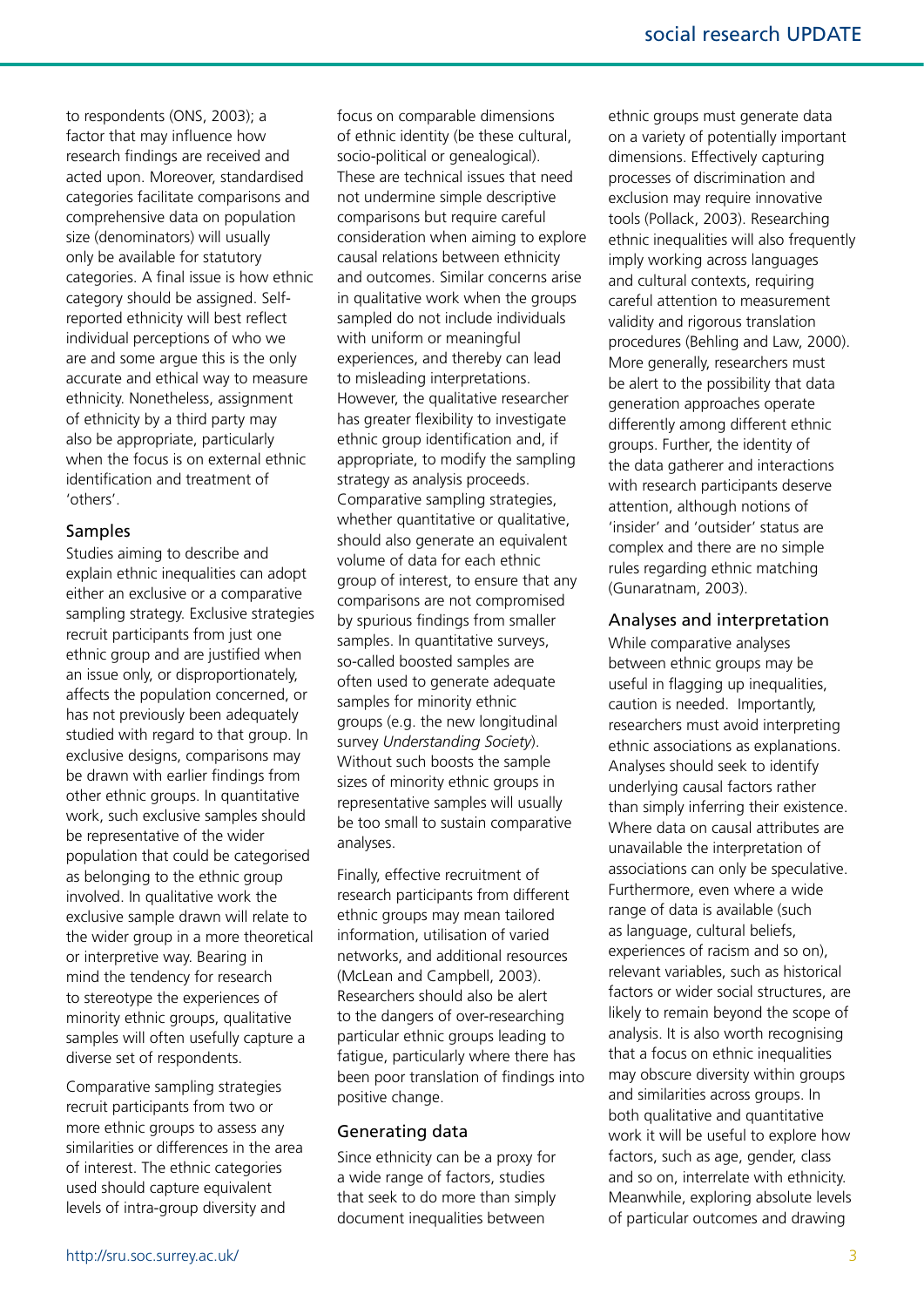to respondents (ONS, 2003); a factor that may influence how research findings are received and acted upon. Moreover, standardised categories facilitate comparisons and comprehensive data on population size (denominators) will usually only be available for statutory categories. A final issue is how ethnic category should be assigned. Selfreported ethnicity will best reflect individual perceptions of who we are and some argue this is the only accurate and ethical way to measure ethnicity. Nonetheless, assignment of ethnicity by a third party may also be appropriate, particularly when the focus is on external ethnic identification and treatment of 'others'.

#### Samples

Studies aiming to describe and explain ethnic inequalities can adopt either an exclusive or a comparative sampling strategy. Exclusive strategies recruit participants from just one ethnic group and are justified when an issue only, or disproportionately, affects the population concerned, or has not previously been adequately studied with regard to that group. In exclusive designs, comparisons may be drawn with earlier findings from other ethnic groups. In quantitative work, such exclusive samples should be representative of the wider population that could be categorised as belonging to the ethnic group involved. In qualitative work the exclusive sample drawn will relate to the wider group in a more theoretical or interpretive way. Bearing in mind the tendency for research to stereotype the experiences of minority ethnic groups, qualitative samples will often usefully capture a diverse set of respondents.

Comparative sampling strategies recruit participants from two or more ethnic groups to assess any similarities or differences in the area of interest. The ethnic categories used should capture equivalent levels of intra-group diversity and

focus on comparable dimensions of ethnic identity (be these cultural, socio-political or genealogical). These are technical issues that need not undermine simple descriptive comparisons but require careful consideration when aiming to explore causal relations between ethnicity and outcomes. Similar concerns arise in qualitative work when the groups sampled do not include individuals with uniform or meaningful experiences, and thereby can lead to misleading interpretations. However, the qualitative researcher has greater flexibility to investigate ethnic group identification and, if appropriate, to modify the sampling strategy as analysis proceeds. Comparative sampling strategies, whether quantitative or qualitative. should also generate an equivalent volume of data for each ethnic group of interest, to ensure that any comparisons are not compromised by spurious findings from smaller samples. In quantitative surveys, so-called boosted samples are often used to generate adequate samples for minority ethnic groups (e.g. the new longitudinal survey *Understanding Society*). Without such boosts the sample sizes of minority ethnic groups in representative samples will usually be too small to sustain comparative analyses.

Finally, effective recruitment of research participants from different ethnic groups may mean tailored information, utilisation of varied networks, and additional resources (McLean and Campbell, 2003). Researchers should also be alert to the dangers of over-researching particular ethnic groups leading to fatigue, particularly where there has been poor translation of findings into positive change.

#### Generating data

Since ethnicity can be a proxy for a wide range of factors, studies that seek to do more than simply document inequalities between

ethnic groups must generate data on a variety of potentially important dimensions. Effectively capturing processes of discrimination and exclusion may require innovative tools (Pollack, 2003). Researching ethnic inequalities will also frequently imply working across languages and cultural contexts, requiring careful attention to measurement validity and rigorous translation procedures (Behling and Law, 2000). More generally, researchers must be alert to the possibility that data generation approaches operate differently among different ethnic groups. Further, the identity of the data gatherer and interactions with research participants deserve attention, although notions of 'insider' and 'outsider' status are complex and there are no simple rules regarding ethnic matching (Gunaratnam, 2003).

## Analyses and interpretation

While comparative analyses between ethnic groups may be useful in flagging up inequalities, caution is needed. Importantly, researchers must avoid interpreting ethnic associations as explanations. Analyses should seek to identify underlying causal factors rather than simply inferring their existence. Where data on causal attributes are unavailable the interpretation of associations can only be speculative. Furthermore, even where a wide range of data is available (such as language, cultural beliefs, experiences of racism and so on), relevant variables, such as historical factors or wider social structures, are likely to remain beyond the scope of analysis. It is also worth recognising that a focus on ethnic inequalities may obscure diversity within groups and similarities across groups. In both qualitative and quantitative work it will be useful to explore how factors, such as age, gender, class and so on, interrelate with ethnicity. Meanwhile, exploring absolute levels of particular outcomes and drawing